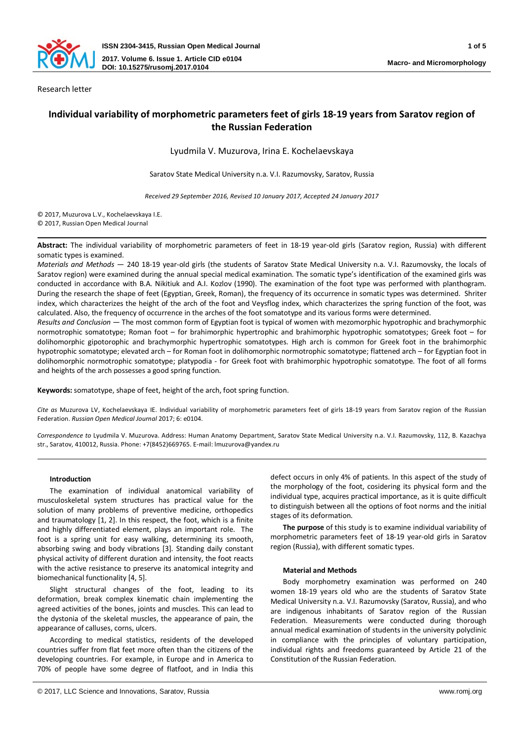

Research letter

# **Individual variability of morphometric parameters feet of girls 18-19 years from Saratov region of the Russian Federation**

Lyudmila V. Muzurova, Irina E. Kochelaevskaya

Saratov State Medical University n.a. V.I. Razumovsky, Saratov, Russia

*Received 29 September 2016, Revised 10 January 2017, Accepted 24 January 2017*

© 2017, Muzurova L.V., Kochelaevskaya I.E. © 2017, Russian Open Medical Journal

**Abstract:** The individual variability of morphometric parameters of feet in 18-19 year-old girls (Saratov region, Russia) with different somatic types is examined.

*Materials and Methods* ― 240 18-19 year-old girls (the students of Saratov State Medical University n.a. V.I. Razumovsky, the locals of Saratov region) were examined during the annual special medical examination. The somatic type's identification of the examined girls was conducted in accordance with B.A. Nikitiuk and A.I. Kozlov (1990). The examination of the foot type was performed with planthogram. During the research the shape of feet (Egyptian, Greek, Roman), the frequency of its occurrence in somatic types was determined. Shriter index, which characterizes the height of the arch of the foot and Veysflog index, which characterizes the spring function of the foot, was calculated. Also, the frequency of occurrence in the arches of the foot somatotype and its various forms were determined.

*Results and Conclusion* ― The most common form of Egyptian foot is typical of women with mezomorphic hypotrophic and brachymorphic normotrophic somatotype; Roman foot – for brahimorphic hypertrophic and brahimorphic hypotrophic somatotypes; Greek foot – for dolihomorphic gipotorophic and brachymorphic hypertrophic somatotypes. High arch is common for Greek foot in the brahimorphic hypotrophic somatotype; elevated arch – for Roman foot in dolihomorphic normotrophic somatotype; flattened arch – for Egyptian foot in dolihomorphic normotrophic somatotype; platypodia - for Greek foot with brahimorphic hypotrophic somatotype. The foot of all forms and heights of the arch possesses a good spring function.

**Keywords:** somatotype, shape of feet, height of the arch, foot spring function.

*Cite as* Muzurova LV, Kochelaevskaya IE. Individual variability of morphometric parameters feet of girls 18-19 years from Saratov region of the Russian Federation. *Russian Open Medical Journal* 2017; 6: e0104.

*Correspondence to* Lyudmila V. Muzurova. Address: Human Anatomy Department, Saratov State Medical University n.a. V.I. Razumovsky, 112, B. Kazachya str., Saratov, 410012, Russia. Phone: +7(8452)669765. E-mail: lmuzurova@yandex.ru

# **Introduction**

The examination of individual anatomical variability of musculoskeletal system structures has practical value for the solution of many problems of preventive medicine, orthopedics and traumatology [1, 2]. In this respect, the foot, which is a finite and highly differentiated element, plays an important role. The foot is a spring unit for easy walking, determining its smooth, absorbing swing and body vibrations [3]. Standing daily constant physical activity of different duration and intensity, the foot reacts with the active resistance to preserve its anatomical integrity and biomechanical functionality [4, 5].

Slight structural changes of the foot, leading to its deformation, break complex kinematic chain implementing the agreed activities of the bones, joints and muscles. This can lead to the dystonia of the skeletal muscles, the appearance of pain, the appearance of calluses, corns, ulcers.

According to medical statistics, residents of the developed countries suffer from flat feet more often than the citizens of the developing countries. For example, in Europe and in America to 70% of people have some degree of flatfoot, and in India this

defect occurs in only 4% of patients. In this aspect of the study of the morphology of the foot, cosidering its physical form and the individual type, acquires practical importance, as it is quite difficult to distinguish between all the options of foot norms and the initial stages of its deformation.

**The purpose** of this study is to examine individual variability of morphometric parameters feet of 18-19 year-old girls in Saratov region (Russia), with different somatic types.

# **Material and Methods**

Body morphometry examination was performed on 240 women 18-19 years old who are the students of Saratov State Medical University n.a. V.I. Razumovsky (Saratov, Russia), and who are indigenous inhabitants of Saratov region of the Russian Federation. Measurements were conducted during thorough annual medical examination of students in the university polyclinic in compliance with the principles of voluntary participation, individual rights and freedoms guaranteed by Article 21 of the Constitution of the Russian Federation.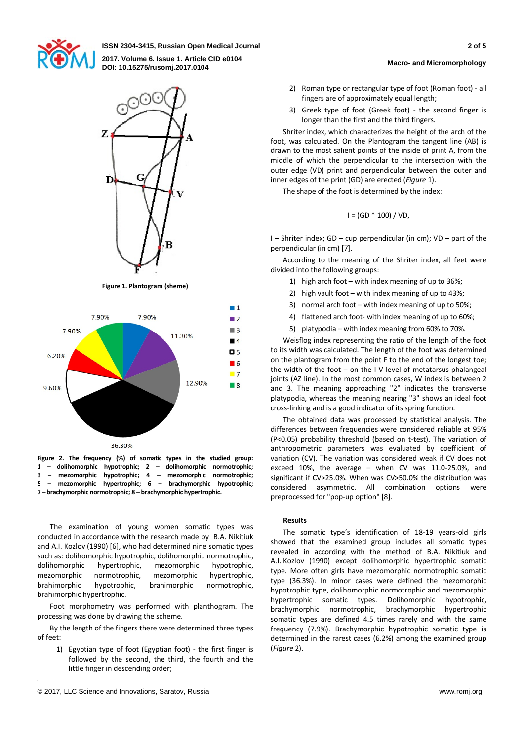

**ISSN 2304-3415, Russian Open Medical Journal 2 of 5 2017. Volume 6. Issue 1. Article CID e0104 DOI: 10.15275/rusomj.2017.0104 Macro- and Micromorphology**



**Figure 1. Plantogram (sheme)**



36.30%

**Figure 2. The frequency (%) of somatic types in the studied group: 1 – dolihomorphic hypotrophic; 2 – dolihomorphic normotrophic; 3 – mezomorphic hypotrophic; 4 – mezomorphic normotrophic; 5 – mezomorphic hypertrophic; 6 – brachymorphic hypotrophic; 7 – brachymorphic normotrophic; 8 – brachymorphic hypertrophic.**

The examination of young women somatic types was conducted in accordance with the research made by B.A. Nikitiuk and A.I. Kozlov (1990) [6], who had determined nine somatic types such as: dolihomorphic hypotrophic, dolihomorphic normotrophic, dolihomorphic hypertrophic, mezomorphic hypotrophic, mezomorphic normotrophic, mezomorphic hypertrophic, brahimorphic hypotrophic, brahimorphic normotrophic, brahimorphic hypertrophic.

Foot morphometry was performed with planthogram. The processing was done by drawing the scheme.

By the length of the fingers there were determined three types of feet:

1) Egyptian type of foot (Egyptian foot) - the first finger is followed by the second, the third, the fourth and the little finger in descending order;

- 2) Roman type or rectangular type of foot (Roman foot) all fingers are of approximately equal length;
- 3) Greek type of foot (Greek foot) the second finger is longer than the first and the third fingers.

Shriter index, which characterizes the height of the arch of the foot, was calculated. On the Plantogram the tangent line (AB) is drawn to the most salient points of the inside of print A, from the middle of which the perpendicular to the intersection with the outer edge (VD) print and perpendicular between the outer and inner edges of the print (GD) are erected (*Figure* 1).

The shape of the foot is determined by the index:

$$
I = (GD * 100) / VD,
$$

I – Shriter index; GD – cup perpendicular (in cm); VD – part of the perpendicular (in cm) [7].

According to the meaning of the Shriter index, all feet were divided into the following groups:

- 1) high arch foot with index meaning of up to 36%;
- 2) high vault foot with index meaning of up to 43%;
- 3) normal arch foot with index meaning of up to 50%;
- 4) flattened arch foot- with index meaning of up to 60%;
- 5) platypodia with index meaning from 60% to 70%.

Weisflog index representing the ratio of the length of the foot to its width was calculated. The length of the foot was determined on the plantogram from the point F to the end of the longest toe; the width of the foot – on the I-V level of metatarsus-phalangeal joints (AZ line). In the most common cases, W index is between 2 and 3. The meaning approaching "2" indicates the transverse platypodia, whereas the meaning nearing "3" shows an ideal foot cross-linking and is a good indicator of its spring function.

The obtained data was processed by statistical analysis. The differences between frequencies were considered reliable at 95% (P<0.05) probability threshold (based on t-test). The variation of anthropometric parameters was evaluated by coefficient of variation (CV). The variation was considered weak if CV does not exceed 10%, the average – when CV was 11.0-25.0%, and significant if CV>25.0%. When was CV>50.0% the distribution was considered asymmetric. All combination options were preprocessed for "pop-up option" [8].

#### **Results**

The somatic type's identification of 18-19 years-old girls showed that the examined group includes all somatic types revealed in according with the method of B.A. Nikitiuk and A.I. Kozlov (1990) except dolihomorphic hypertrophic somatic type. More often girls have mezomorphic normotrophic somatic type (36.3%). In minor cases were defined the mezomorphic hypotrophic type, dolihomorphic normotrophic and mezomorphic hypertrophic somatic types. Dolihomorphic hypotrophic, brachymorphic normotrophic, brachymorphic hypertrophic somatic types are defined 4.5 times rarely and with the same frequency (7.9%). Brachymorphic hypotrophic somatic type is determined in the rarest cases (6.2%) among the examined group (*Figure* 2).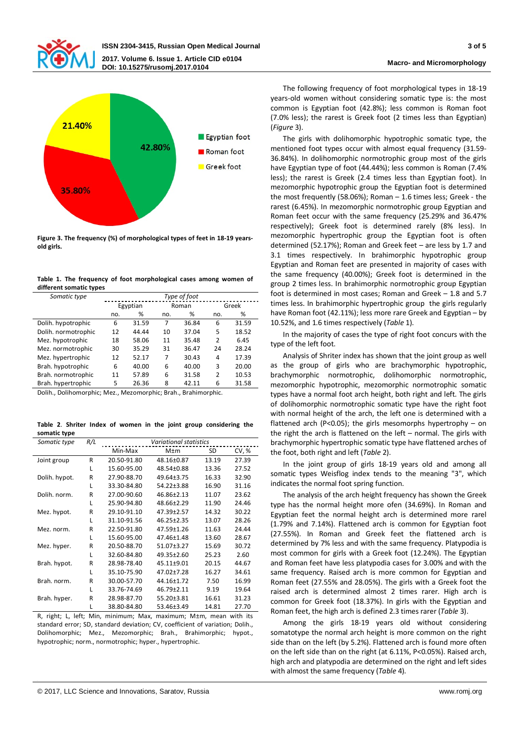



**Figure 3. The frequency (%) of morphological types of feet in 18-19 yearsold girls.**

| Table 1. The frequency of foot morphological cases among women of |  |  |  |
|-------------------------------------------------------------------|--|--|--|
| different somatic types                                           |  |  |  |

| Somatic type        | Type of foot |          |     |       |                |       |  |  |
|---------------------|--------------|----------|-----|-------|----------------|-------|--|--|
|                     |              | Egyptian |     | Roman | Greek          |       |  |  |
|                     | %<br>no.     |          | no. | %     | no.            | %     |  |  |
| Dolih. hypotrophic  | 6            | 31.59    | 7   | 36.84 | 6              | 31.59 |  |  |
| Dolih. normotrophic | 12           | 44.44    | 10  | 37.04 | 5              | 18.52 |  |  |
| Mez. hypotrophic    | 18           | 58.06    | 11  | 35.48 | $\overline{2}$ | 6.45  |  |  |
| Mez. normotrophic   | 30           | 35.29    | 31  | 36.47 | 24             | 28.24 |  |  |
| Mez. hypertrophic   | 12           | 52.17    | 7   | 30.43 | 4              | 17.39 |  |  |
| Brah. hypotrophic   | 6            | 40.00    | 6   | 40.00 | 3              | 20.00 |  |  |
| Brah. normotrophic  | 11           | 57.89    | 6   | 31.58 | $\overline{2}$ | 10.53 |  |  |
| Brah. hypertrophic  | 5            | 26.36    | 8   | 42.11 | 6              | 31.58 |  |  |

Dolih., Dolihomorphic; Mez., Mezomorphic; Brah., Brahimorphic.

**Table 2**. **Shriter Index of women in the joint group considering the somatic type**

| Somatic type  | R/L | <b>Variational statistics</b> |                  |       |       |  |  |  |  |  |
|---------------|-----|-------------------------------|------------------|-------|-------|--|--|--|--|--|
|               |     | Min-Max                       | $M \pm m$        | SD    | CV, % |  |  |  |  |  |
| Joint group   | R   | 20.50-91.80                   | 48.16±0.87       | 13.19 | 27.39 |  |  |  |  |  |
|               | L   | 15.60-95.00                   | 48.54±0.88       | 13.36 | 27.52 |  |  |  |  |  |
| Dolih. hypot. | R   | 27.90-88.70                   | 49.64±3.75       | 16.33 | 32.90 |  |  |  |  |  |
|               | L   | 33.30-84.80                   | 54.22±3.88       | 16.90 | 31.16 |  |  |  |  |  |
| Dolih. norm.  | R   | 27.00-90.60                   | 46.86±2.13       | 11.07 | 23.62 |  |  |  |  |  |
|               | L   | 25.90-94.80                   | 48.66±2.29       | 11.90 | 24.46 |  |  |  |  |  |
| Mez. hypot.   | R   | 29.10-91.10                   | 47.39±2.57       | 14.32 | 30.22 |  |  |  |  |  |
|               | L   | 31.10-91.56                   | $46.25 \pm 2.35$ | 13.07 | 28.26 |  |  |  |  |  |
| Mez. norm.    | R   | 22.50-91.80                   | 47.59±1.26       | 11.63 | 24.44 |  |  |  |  |  |
|               | L   | 15.60-95.00                   | 47.46±1.48       | 13.60 | 28.67 |  |  |  |  |  |
| Mez. hyper.   | R   | 20.50-88.70                   | 51.07±3.27       | 15.69 | 30.72 |  |  |  |  |  |
|               | L   | 32.60-84.80                   | 49.35±2.60       | 25.23 | 2.60  |  |  |  |  |  |
| Brah. hypot.  | R   | 28.98-78.40                   | $45.11 + 9.01$   | 20.15 | 44.67 |  |  |  |  |  |
|               | L   | 35.10-75.90                   | 47.02±7.28       | 16.27 | 34.61 |  |  |  |  |  |
| Brah. norm.   | R   | 30.00-57.70                   | 44.16±1.72       | 7.50  | 16.99 |  |  |  |  |  |
|               | L   | 33.76-74.69                   | 46.79±2.11       | 9.19  | 19.64 |  |  |  |  |  |
| Brah. hyper.  | R   | 28.98-87.70                   | 55.20±3.81       | 16.61 | 31.23 |  |  |  |  |  |
|               | L   | 38.80-84.80                   | 53.46±3.49       | 14.81 | 27.70 |  |  |  |  |  |

R, right; L, left; Min, minimum; Max, maximum; М±m, mean with its standard error; SD, standard deviation; CV, coefficient of variation; Dolih., Dolihomorphic; Mez., Mezomorphic; Brah., Brahimorphic; hypot., hypotrophic; norm., normotrophic; hyper., hypertrophic.

The following frequency of foot morphological types in 18-19 years-old women without considering somatic type is: the most common is Egyptian foot (42.8%); less common is Roman foot (7.0% less); the rarest is Greek foot (2 times less than Egyptian) (*Figure* 3).

The girls with dolihomorphic hypotrophic somatic type, the mentioned foot types occur with almost equal frequency (31.59- 36.84%). In dolihomorphic normotrophic group most of the girls have Egyptian type of foot (44.44%); less common is Roman (7.4% less); the rarest is Greek (2.4 times less than Egyptian foot). In mezomorphic hypotrophic group the Egyptian foot is determined the most frequently (58.06%); Roman – 1.6 times less; Greek - the rarest (6.45%). In mezomorphic normotrophic group Egyptian and Roman feet occur with the same frequency (25.29% and 36.47% respectively); Greek foot is determined rarely (8% less). In mezomorphic hypertrophic group the Egyptian foot is often determined (52.17%); Roman and Greek feet – are less by 1.7 and 3.1 times respectively. In brahimorphic hypotrophic group Egyptian and Roman feet are presented in majority of cases with the same frequency (40.00%); Greek foot is determined in the group 2 times less. In brahimorphic normotrophic group Egyptian foot is determined in most cases; Roman and Greek – 1.8 and 5.7 times less. In brahimorphic hypertrophic group the girls regularly have Roman foot (42.11%); less more rare Greek and Egyptian – by 10.52%, and 1.6 times respectively (*Table* 1).

In the majority of cases the type of right foot concurs with the type of the left foot.

Analysis of Shriter index has shown that the joint group as well as the group of girls who are brachymorphic hypotrophic, brachymorphic normotrophic, dolihomorphic normotrophic, mezomorphic hypotrophic, mezomorphic normotrophic somatic types have a normal foot arch height, both right and left. The girls of dolihomorphic normotrophic somatic type have the right foot with normal height of the arch, the left one is determined with a flattened arch (P<0.05); the girls mesomorphs hypertrophy – on the right the arch is flattened on the left  $-$  normal. The girls with brachymorphic hypertrophic somatic type have flattened arches of the foot, both right and left (*Table* 2).

In the joint group of girls 18-19 years old and among all somatic types Weisflog index tends to the meaning "3", which indicates the normal foot spring function.

The analysis of the arch height frequency has shown the Greek type has the normal height more ofen (34.69%). In Roman and Egyptian feet the normal height arch is determined more rarel (1.79% and 7.14%). Flattened arch is common for Egyptian foot (27.55%). In Roman and Greek feet the flattened arch is determined by 7% less and with the same frequency. Platypodia is most common for girls with a Greek foot (12.24%). The Egyptian and Roman feet have less platypodia cases for 3.00% and with the same frequency. Raised arch is more common for Egyptian and Roman feet (27.55% and 28.05%). The girls with a Greek foot the raised arch is determined almost 2 times rarer. High arch is common for Greek foot (18.37%). In girls with the Egyptian and Roman feet, the high arch is defined 2.3 times rarer (*Table* 3).

Among the girls 18-19 years old without considering somatotype the normal arch height is more common on the right side than on the left (by 5.2%). Flattened arch is found more often on the left side than on the right (at 6.11%, P<0.05%). Raised arch, high arch and platypodia are determined on the right and left sides with almost the same frequency (*Table* 4).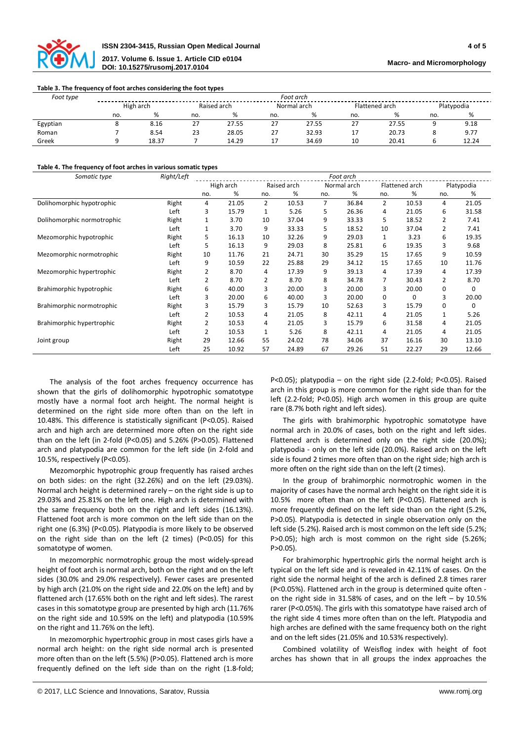

#### **Table 3. The frequency of foot arches considering the foot types**

| Foot type | Foot arch |       |             |       |             |       |                |       |            |       |
|-----------|-----------|-------|-------------|-------|-------------|-------|----------------|-------|------------|-------|
|           | High arch |       | Raised arch |       | Normal arch |       | Flattened arch |       | Platypodia |       |
|           | no.       |       | no.         | %     | no.         | %     | no.            |       | no.        | %     |
| Egyptian  |           | 8.16  | 27          | 27.55 | 27          | 27.55 | 27             | 27.55 |            | 9.18  |
| Roman     |           | 8.54  | 23          | 28.05 | 27          | 32.93 | 17             | 20.73 |            | 9.77  |
| Greek     |           | 18.37 |             | 14.29 |             | 34.69 | 10             | 20.41 |            | 12.24 |

## **Table 4. The frequency of foot arches in various somatic types**

| Somatic type               | Right/Left | Foot arch |       |                |       |                |       |                |       |            |          |
|----------------------------|------------|-----------|-------|----------------|-------|----------------|-------|----------------|-------|------------|----------|
|                            |            | High arch |       | Raised arch    |       | Normal arch    |       | Flattened arch |       | Platypodia |          |
|                            |            | no.       | %     | no.            | ℅     | no.            | %     | no.            | %     | no.        | %        |
| Dolihomorphic hypotrophic  | Right      | 4         | 21.05 | $\overline{2}$ | 10.53 | $\overline{7}$ | 36.84 | $\overline{2}$ | 10.53 | 4          | 21.05    |
|                            | Left       | 3         | 15.79 | 1              | 5.26  | 5              | 26.36 | 4              | 21.05 | 6          | 31.58    |
| Dolihomorphic normotrophic | Right      | 1         | 3.70  | 10             | 37.04 | 9              | 33.33 | 5              | 18.52 | 2          | 7.41     |
|                            | Left       | 1         | 3.70  | 9              | 33.33 | 5              | 18.52 | 10             | 37.04 | 2          | 7.41     |
| Mezomorphic hypotrophic    | Right      | 5         | 16.13 | 10             | 32.26 | 9              | 29.03 | 1              | 3.23  | 6          | 19.35    |
|                            | Left       | 5         | 16.13 | 9              | 29.03 | 8              | 25.81 | 6              | 19.35 | 3          | 9.68     |
| Mezomorphic normotrophic   | Right      | 10        | 11.76 | 21             | 24.71 | 30             | 35.29 | 15             | 17.65 | 9          | 10.59    |
|                            | Left       | 9         | 10.59 | 22             | 25.88 | 29             | 34.12 | 15             | 17.65 | 10         | 11.76    |
| Mezomorphic hypertrophic   | Right      | 2         | 8.70  | 4              | 17.39 | 9              | 39.13 | 4              | 17.39 | 4          | 17.39    |
|                            | Left       | 2         | 8.70  | 2              | 8.70  | 8              | 34.78 | 7              | 30.43 | 2          | 8.70     |
| Brahimorphic hypotrophic   | Right      | 6         | 40.00 | 3              | 20.00 | 3              | 20.00 | 3              | 20.00 | 0          | 0        |
|                            | Left       | 3         | 20.00 | 6              | 40.00 | 3              | 20.00 | 0              | 0     | 3          | 20.00    |
| Brahimorphic normotrophic  | Right      | 3         | 15.79 | 3              | 15.79 | 10             | 52.63 | 3              | 15.79 | 0          | $\Omega$ |
|                            | Left       | 2         | 10.53 | 4              | 21.05 | 8              | 42.11 | 4              | 21.05 | 1          | 5.26     |
| Brahimorphic hypertrophic  | Right      | 2         | 10.53 | 4              | 21.05 | 3              | 15.79 | 6              | 31.58 | 4          | 21.05    |
|                            | Left       | 2         | 10.53 | $\mathbf{1}$   | 5.26  | 8              | 42.11 | 4              | 21.05 | 4          | 21.05    |
| Joint group                | Right      | 29        | 12.66 | 55             | 24.02 | 78             | 34.06 | 37             | 16.16 | 30         | 13.10    |
|                            | Left       | 25        | 10.92 | 57             | 24.89 | 67             | 29.26 | 51             | 22.27 | 29         | 12.66    |

The analysis of the foot arches frequency occurrence has shown that the girls of dolihomorphic hypotrophic somatotype mostly have a normal foot arch height. The normal height is determined on the right side more often than on the left in 10.48%. This difference is statistically significant (P<0.05). Raised arch and high arch are determined more often on the right side than on the left (in 2-fold (P<0.05) and 5.26% (P>0.05). Flattened arch and platypodia are common for the left side (in 2-fold and 10.5%, respectively (P<0.05).

Mezomorphic hypotrophic group frequently has raised arches on both sides: on the right (32.26%) and on the left (29.03%). Normal arch height is determined rarely – on the right side is up to 29.03% and 25.81% on the left one. High arch is determined with the same frequency both on the right and left sides (16.13%). Flattened foot arch is more common on the left side than on the right one (6.3%) (P<0.05). Platypodia is more likely to be observed on the right side than on the left (2 times) (P<0.05) for this somatotype of women.

In mezomorphic normotrophic group the most widely-spread height of foot arch is normal arch, both on the right and on the left sides (30.0% and 29.0% respectively). Fewer cases are presented by high arch (21.0% on the right side and 22.0% on the left) and by flattened arch (17.65% both on the right and left sides). The rarest cases in this somatotype group are presented by high arch (11.76% on the right side and 10.59% on the left) and platypodia (10.59% on the right and 11.76% on the left).

In mezomorphic hypertrophic group in most cases girls have a normal arch height: on the right side normal arch is presented more often than on the left (5.5%) (P>0.05). Flattened arch is more frequently defined on the left side than on the right (1.8-fold; P<0.05); platypodia – on the right side (2.2-fold; P<0.05). Raised arch in this group is more common for the right side than for the left (2.2-fold; P<0.05). High arch women in this group are quite rare (8.7% both right and left sides).

The girls with brahimorphic hypotrophic somatotype have normal arch in 20.0% of cases, both on the right and left sides. Flattened arch is determined only on the right side (20.0%); platypodia - only on the left side (20.0%). Raised arch on the left side is found 2 times more often than on the right side; high arch is more often on the right side than on the left (2 times).

In the group of brahimorphic normotrophic women in the majority of cases have the normal arch height on the right side it is 10.5% more often than on the left (P<0.05). Flattened arch is more frequently defined on the left side than on the right (5.2%, P>0.05). Platypodia is detected in single observation only on the left side (5.2%). Raised arch is most common on the left side (5.2%; P>0.05); high arch is most common on the right side (5.26%; P>0.05).

For brahimorphic hypertrophic girls the normal height arch is typical on the left side and is revealed in 42.11% of cases. On the right side the normal height of the arch is defined 2.8 times rarer (P<0.05%). Flattened arch in the group is determined quite often on the right side in 31.58% of cases, and on the left – by 10.5% rarer (P<0.05%). The girls with this somatotype have raised arch of the right side 4 times more often than on the left. Platypodia and high arches are defined with the same frequency both on the right and on the left sides (21.05% and 10.53% respectively).

Combined volatility of Weisflog index with height of foot arches has shown that in all groups the index approaches the